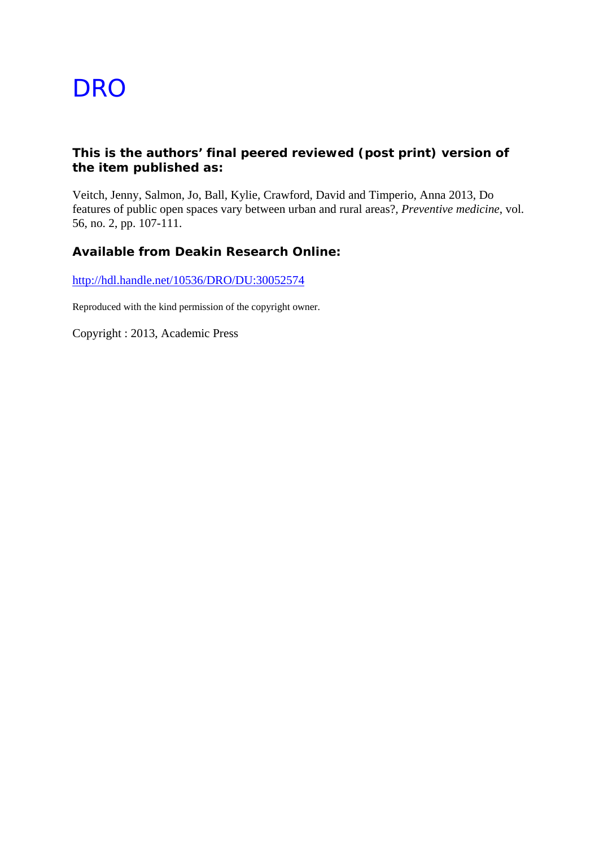# **DRO**

# **This is the authors' final peered reviewed (post print) version of the item published as:**

Veitch, Jenny, Salmon, Jo, Ball, Kylie, Crawford, David and Timperio, Anna 2013, Do features of public open spaces vary between urban and rural areas?*, Preventive medicine*, vol. 56, no. 2, pp. 107-111.

## **Available from Deakin Research Online:**

http://hdl.handle.net/10536/DRO/DU:30052574

Reproduced with the kind permission of the copyright owner.

Copyright : 2013, Academic Press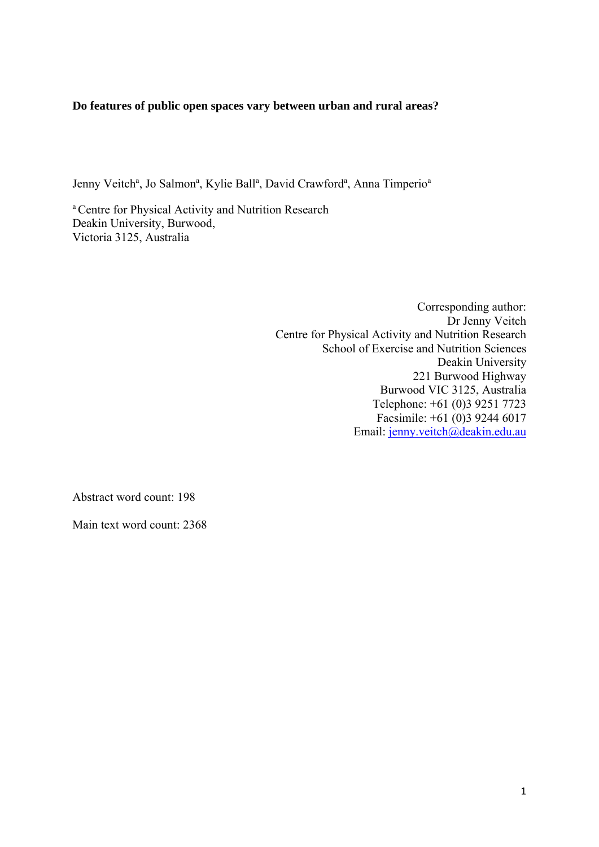## **Do features of public open spaces vary between urban and rural areas?**

Jenny Veitch<sup>a</sup>, Jo Salmon<sup>a</sup>, Kylie Ball<sup>a</sup>, David Crawford<sup>a</sup>, Anna Timperio<sup>a</sup>

a Centre for Physical Activity and Nutrition Research Deakin University, Burwood, Victoria 3125, Australia

> Corresponding author: Dr Jenny Veitch Centre for Physical Activity and Nutrition Research School of Exercise and Nutrition Sciences Deakin University 221 Burwood Highway Burwood VIC 3125, Australia Telephone: +61 (0)3 9251 7723 Facsimile: +61 (0)3 9244 6017 Email: jenny.veitch@deakin.edu.au

Abstract word count: 198

Main text word count: 2368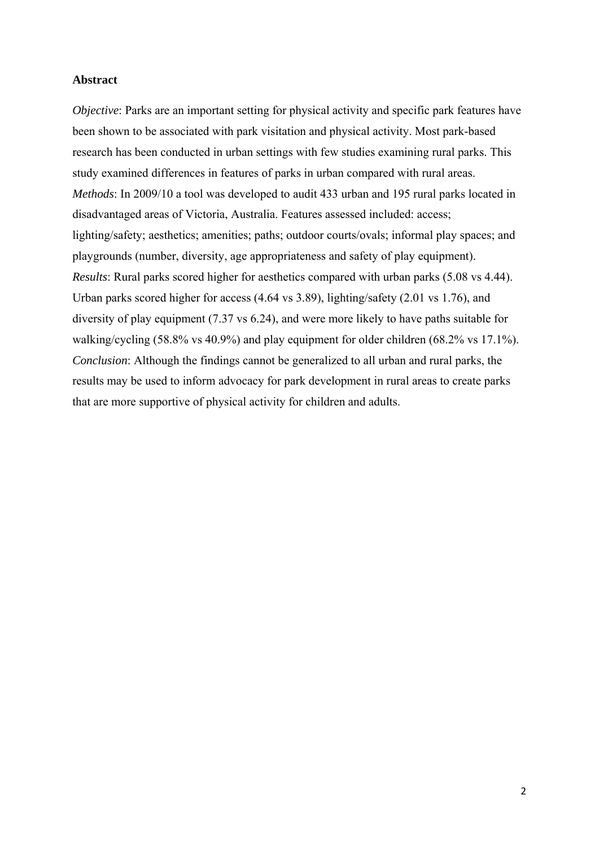#### **Abstract**

*Objective*: Parks are an important setting for physical activity and specific park features have been shown to be associated with park visitation and physical activity. Most park-based research has been conducted in urban settings with few studies examining rural parks. This study examined differences in features of parks in urban compared with rural areas. *Methods*: In 2009/10 a tool was developed to audit 433 urban and 195 rural parks located in disadvantaged areas of Victoria, Australia. Features assessed included: access; lighting/safety; aesthetics; amenities; paths; outdoor courts/ovals; informal play spaces; and playgrounds (number, diversity, age appropriateness and safety of play equipment). *Results*: Rural parks scored higher for aesthetics compared with urban parks (5.08 vs 4.44). Urban parks scored higher for access (4.64 vs 3.89), lighting/safety (2.01 vs 1.76), and diversity of play equipment (7.37 vs 6.24), and were more likely to have paths suitable for walking/cycling (58.8% vs 40.9%) and play equipment for older children (68.2% vs 17.1%). *Conclusion*: Although the findings cannot be generalized to all urban and rural parks, the results may be used to inform advocacy for park development in rural areas to create parks that are more supportive of physical activity for children and adults.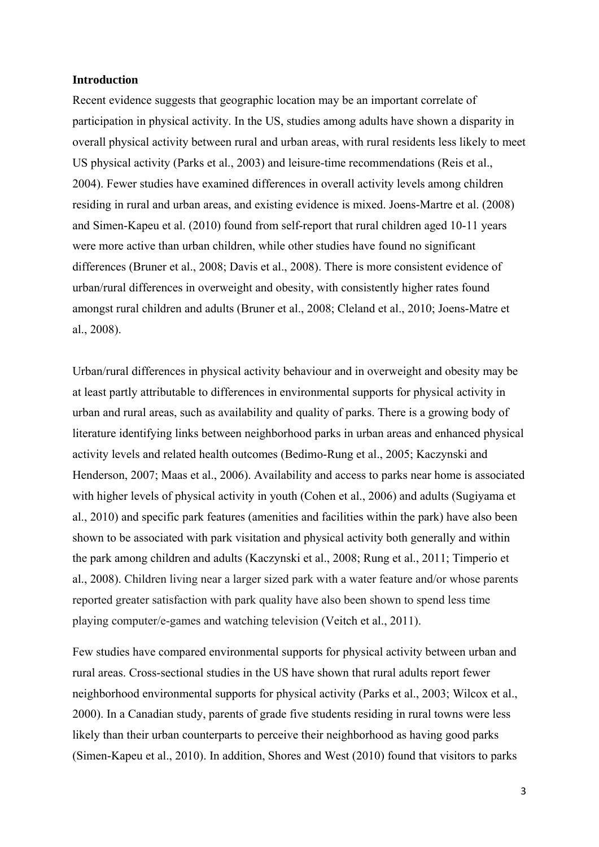#### **Introduction**

Recent evidence suggests that geographic location may be an important correlate of participation in physical activity. In the US, studies among adults have shown a disparity in overall physical activity between rural and urban areas, with rural residents less likely to meet US physical activity (Parks et al., 2003) and leisure-time recommendations (Reis et al., 2004). Fewer studies have examined differences in overall activity levels among children residing in rural and urban areas, and existing evidence is mixed. Joens-Martre et al. (2008) and Simen-Kapeu et al. (2010) found from self-report that rural children aged 10-11 years were more active than urban children, while other studies have found no significant differences (Bruner et al., 2008; Davis et al., 2008). There is more consistent evidence of urban/rural differences in overweight and obesity, with consistently higher rates found amongst rural children and adults (Bruner et al., 2008; Cleland et al., 2010; Joens-Matre et al., 2008).

Urban/rural differences in physical activity behaviour and in overweight and obesity may be at least partly attributable to differences in environmental supports for physical activity in urban and rural areas, such as availability and quality of parks. There is a growing body of literature identifying links between neighborhood parks in urban areas and enhanced physical activity levels and related health outcomes (Bedimo-Rung et al., 2005; Kaczynski and Henderson, 2007; Maas et al., 2006). Availability and access to parks near home is associated with higher levels of physical activity in youth (Cohen et al., 2006) and adults (Sugiyama et al., 2010) and specific park features (amenities and facilities within the park) have also been shown to be associated with park visitation and physical activity both generally and within the park among children and adults (Kaczynski et al., 2008; Rung et al., 2011; Timperio et al., 2008). Children living near a larger sized park with a water feature and/or whose parents reported greater satisfaction with park quality have also been shown to spend less time playing computer/e-games and watching television (Veitch et al., 2011).

Few studies have compared environmental supports for physical activity between urban and rural areas. Cross-sectional studies in the US have shown that rural adults report fewer neighborhood environmental supports for physical activity (Parks et al., 2003; Wilcox et al., 2000). In a Canadian study, parents of grade five students residing in rural towns were less likely than their urban counterparts to perceive their neighborhood as having good parks (Simen-Kapeu et al., 2010). In addition, Shores and West (2010) found that visitors to parks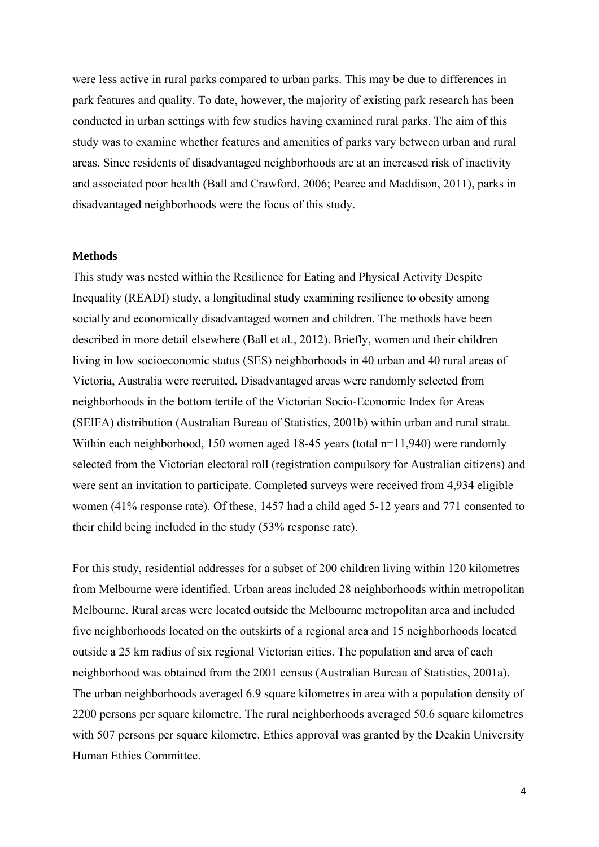were less active in rural parks compared to urban parks. This may be due to differences in park features and quality. To date, however, the majority of existing park research has been conducted in urban settings with few studies having examined rural parks. The aim of this study was to examine whether features and amenities of parks vary between urban and rural areas. Since residents of disadvantaged neighborhoods are at an increased risk of inactivity and associated poor health (Ball and Crawford, 2006; Pearce and Maddison, 2011), parks in disadvantaged neighborhoods were the focus of this study.

#### **Methods**

This study was nested within the Resilience for Eating and Physical Activity Despite Inequality (READI) study, a longitudinal study examining resilience to obesity among socially and economically disadvantaged women and children. The methods have been described in more detail elsewhere (Ball et al., 2012). Briefly, women and their children living in low socioeconomic status (SES) neighborhoods in 40 urban and 40 rural areas of Victoria, Australia were recruited. Disadvantaged areas were randomly selected from neighborhoods in the bottom tertile of the Victorian Socio-Economic Index for Areas (SEIFA) distribution (Australian Bureau of Statistics, 2001b) within urban and rural strata. Within each neighborhood, 150 women aged 18-45 years (total n=11,940) were randomly selected from the Victorian electoral roll (registration compulsory for Australian citizens) and were sent an invitation to participate. Completed surveys were received from 4,934 eligible women (41% response rate). Of these, 1457 had a child aged 5-12 years and 771 consented to their child being included in the study (53% response rate).

For this study, residential addresses for a subset of 200 children living within 120 kilometres from Melbourne were identified. Urban areas included 28 neighborhoods within metropolitan Melbourne. Rural areas were located outside the Melbourne metropolitan area and included five neighborhoods located on the outskirts of a regional area and 15 neighborhoods located outside a 25 km radius of six regional Victorian cities. The population and area of each neighborhood was obtained from the 2001 census (Australian Bureau of Statistics, 2001a). The urban neighborhoods averaged 6.9 square kilometres in area with a population density of 2200 persons per square kilometre. The rural neighborhoods averaged 50.6 square kilometres with 507 persons per square kilometre. Ethics approval was granted by the Deakin University Human Ethics Committee.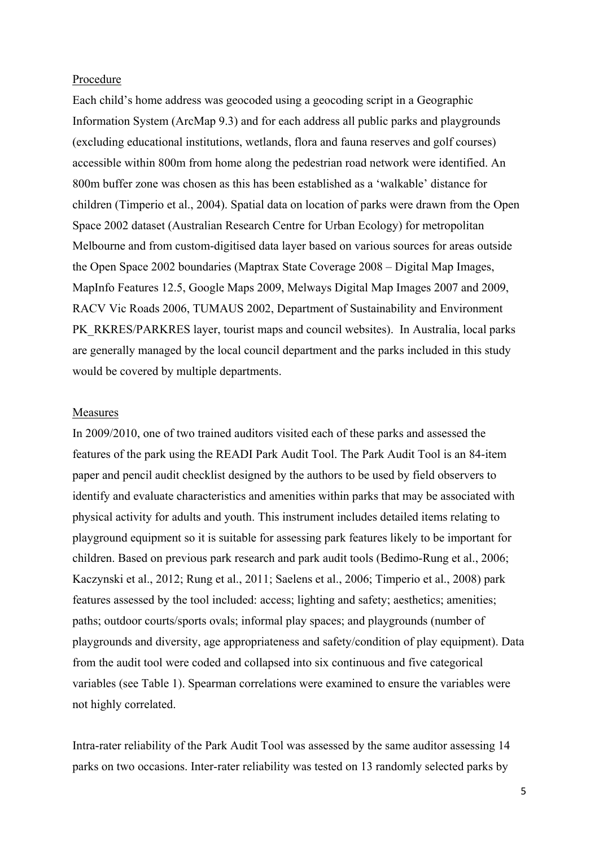#### Procedure

Each child's home address was geocoded using a geocoding script in a Geographic Information System (ArcMap 9.3) and for each address all public parks and playgrounds (excluding educational institutions, wetlands, flora and fauna reserves and golf courses) accessible within 800m from home along the pedestrian road network were identified. An 800m buffer zone was chosen as this has been established as a 'walkable' distance for children (Timperio et al., 2004). Spatial data on location of parks were drawn from the Open Space 2002 dataset (Australian Research Centre for Urban Ecology) for metropolitan Melbourne and from custom-digitised data layer based on various sources for areas outside the Open Space 2002 boundaries (Maptrax State Coverage 2008 – Digital Map Images, MapInfo Features 12.5, Google Maps 2009, Melways Digital Map Images 2007 and 2009, RACV Vic Roads 2006, TUMAUS 2002, Department of Sustainability and Environment PK\_RKRES/PARKRES layer, tourist maps and council websites). In Australia, local parks are generally managed by the local council department and the parks included in this study would be covered by multiple departments.

#### Measures

In 2009/2010, one of two trained auditors visited each of these parks and assessed the features of the park using the READI Park Audit Tool. The Park Audit Tool is an 84-item paper and pencil audit checklist designed by the authors to be used by field observers to identify and evaluate characteristics and amenities within parks that may be associated with physical activity for adults and youth. This instrument includes detailed items relating to playground equipment so it is suitable for assessing park features likely to be important for children. Based on previous park research and park audit tools (Bedimo-Rung et al., 2006; Kaczynski et al., 2012; Rung et al., 2011; Saelens et al., 2006; Timperio et al., 2008) park features assessed by the tool included: access; lighting and safety; aesthetics; amenities; paths; outdoor courts/sports ovals; informal play spaces; and playgrounds (number of playgrounds and diversity, age appropriateness and safety/condition of play equipment). Data from the audit tool were coded and collapsed into six continuous and five categorical variables (see Table 1). Spearman correlations were examined to ensure the variables were not highly correlated.

Intra-rater reliability of the Park Audit Tool was assessed by the same auditor assessing 14 parks on two occasions. Inter-rater reliability was tested on 13 randomly selected parks by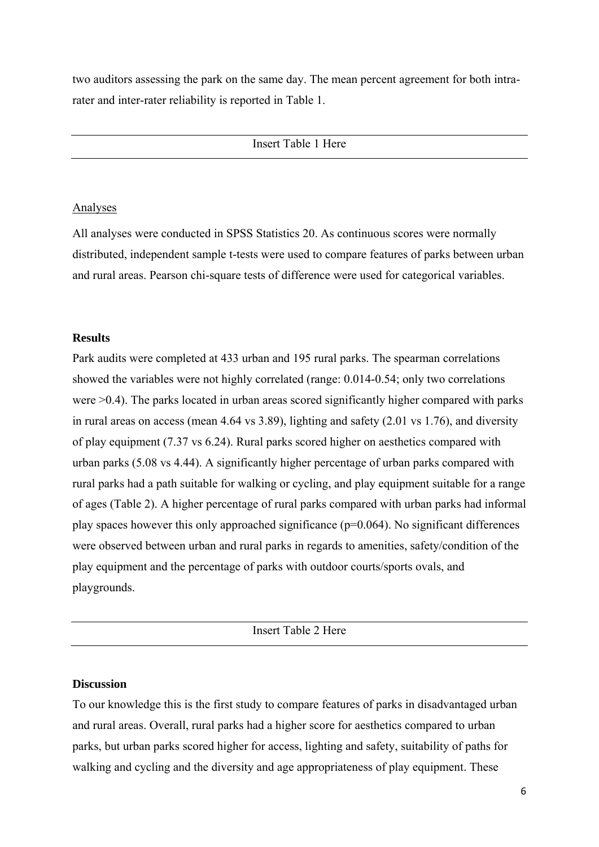two auditors assessing the park on the same day. The mean percent agreement for both intrarater and inter-rater reliability is reported in Table 1.

## Insert Table 1 Here

## Analyses

All analyses were conducted in SPSS Statistics 20. As continuous scores were normally distributed, independent sample t-tests were used to compare features of parks between urban and rural areas. Pearson chi-square tests of difference were used for categorical variables.

## **Results**

Park audits were completed at 433 urban and 195 rural parks. The spearman correlations showed the variables were not highly correlated (range: 0.014-0.54; only two correlations were >0.4). The parks located in urban areas scored significantly higher compared with parks in rural areas on access (mean 4.64 vs 3.89), lighting and safety (2.01 vs 1.76), and diversity of play equipment (7.37 vs 6.24). Rural parks scored higher on aesthetics compared with urban parks (5.08 vs 4.44). A significantly higher percentage of urban parks compared with rural parks had a path suitable for walking or cycling, and play equipment suitable for a range of ages (Table 2). A higher percentage of rural parks compared with urban parks had informal play spaces however this only approached significance ( $p=0.064$ ). No significant differences were observed between urban and rural parks in regards to amenities, safety/condition of the play equipment and the percentage of parks with outdoor courts/sports ovals, and playgrounds.

Insert Table 2 Here

#### **Discussion**

To our knowledge this is the first study to compare features of parks in disadvantaged urban and rural areas. Overall, rural parks had a higher score for aesthetics compared to urban parks, but urban parks scored higher for access, lighting and safety, suitability of paths for walking and cycling and the diversity and age appropriateness of play equipment. These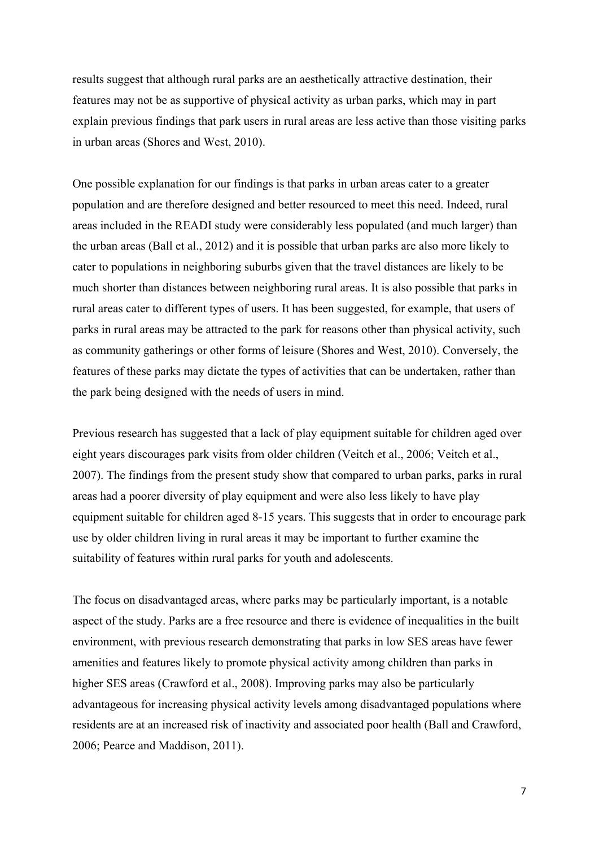results suggest that although rural parks are an aesthetically attractive destination, their features may not be as supportive of physical activity as urban parks, which may in part explain previous findings that park users in rural areas are less active than those visiting parks in urban areas (Shores and West, 2010).

One possible explanation for our findings is that parks in urban areas cater to a greater population and are therefore designed and better resourced to meet this need. Indeed, rural areas included in the READI study were considerably less populated (and much larger) than the urban areas (Ball et al., 2012) and it is possible that urban parks are also more likely to cater to populations in neighboring suburbs given that the travel distances are likely to be much shorter than distances between neighboring rural areas. It is also possible that parks in rural areas cater to different types of users. It has been suggested, for example, that users of parks in rural areas may be attracted to the park for reasons other than physical activity, such as community gatherings or other forms of leisure (Shores and West, 2010). Conversely, the features of these parks may dictate the types of activities that can be undertaken, rather than the park being designed with the needs of users in mind.

Previous research has suggested that a lack of play equipment suitable for children aged over eight years discourages park visits from older children (Veitch et al., 2006; Veitch et al., 2007). The findings from the present study show that compared to urban parks, parks in rural areas had a poorer diversity of play equipment and were also less likely to have play equipment suitable for children aged 8-15 years. This suggests that in order to encourage park use by older children living in rural areas it may be important to further examine the suitability of features within rural parks for youth and adolescents.

The focus on disadvantaged areas, where parks may be particularly important, is a notable aspect of the study. Parks are a free resource and there is evidence of inequalities in the built environment, with previous research demonstrating that parks in low SES areas have fewer amenities and features likely to promote physical activity among children than parks in higher SES areas (Crawford et al., 2008). Improving parks may also be particularly advantageous for increasing physical activity levels among disadvantaged populations where residents are at an increased risk of inactivity and associated poor health (Ball and Crawford, 2006; Pearce and Maddison, 2011).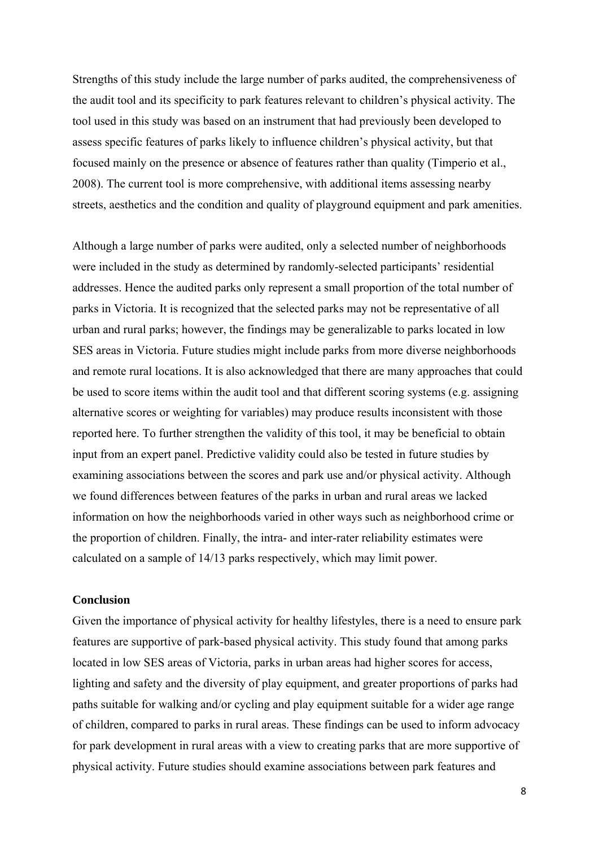Strengths of this study include the large number of parks audited, the comprehensiveness of the audit tool and its specificity to park features relevant to children's physical activity. The tool used in this study was based on an instrument that had previously been developed to assess specific features of parks likely to influence children's physical activity, but that focused mainly on the presence or absence of features rather than quality (Timperio et al., 2008). The current tool is more comprehensive, with additional items assessing nearby streets, aesthetics and the condition and quality of playground equipment and park amenities.

Although a large number of parks were audited, only a selected number of neighborhoods were included in the study as determined by randomly-selected participants' residential addresses. Hence the audited parks only represent a small proportion of the total number of parks in Victoria. It is recognized that the selected parks may not be representative of all urban and rural parks; however, the findings may be generalizable to parks located in low SES areas in Victoria. Future studies might include parks from more diverse neighborhoods and remote rural locations. It is also acknowledged that there are many approaches that could be used to score items within the audit tool and that different scoring systems (e.g. assigning alternative scores or weighting for variables) may produce results inconsistent with those reported here. To further strengthen the validity of this tool, it may be beneficial to obtain input from an expert panel. Predictive validity could also be tested in future studies by examining associations between the scores and park use and/or physical activity. Although we found differences between features of the parks in urban and rural areas we lacked information on how the neighborhoods varied in other ways such as neighborhood crime or the proportion of children. Finally, the intra- and inter-rater reliability estimates were calculated on a sample of 14/13 parks respectively, which may limit power.

## **Conclusion**

Given the importance of physical activity for healthy lifestyles, there is a need to ensure park features are supportive of park-based physical activity. This study found that among parks located in low SES areas of Victoria, parks in urban areas had higher scores for access, lighting and safety and the diversity of play equipment, and greater proportions of parks had paths suitable for walking and/or cycling and play equipment suitable for a wider age range of children, compared to parks in rural areas. These findings can be used to inform advocacy for park development in rural areas with a view to creating parks that are more supportive of physical activity. Future studies should examine associations between park features and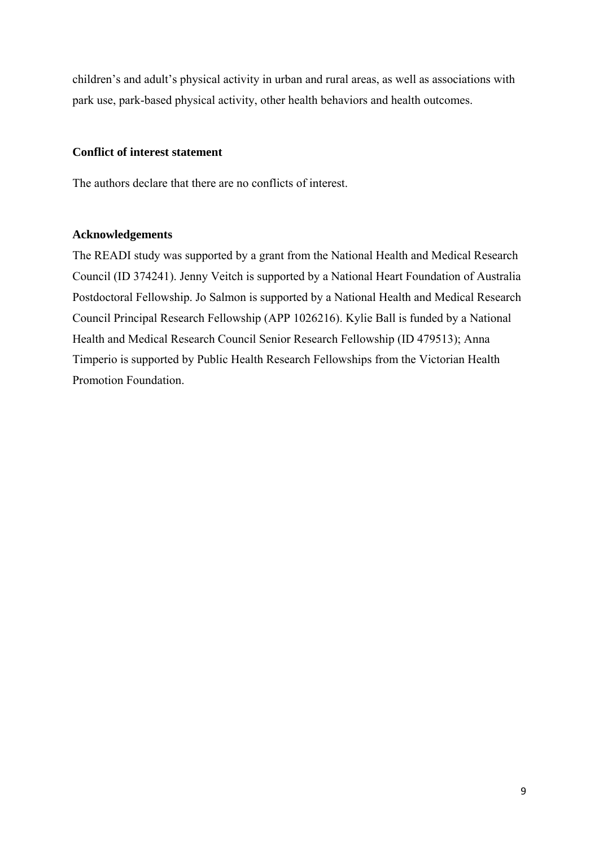children's and adult's physical activity in urban and rural areas, as well as associations with park use, park-based physical activity, other health behaviors and health outcomes.

## **Conflict of interest statement**

The authors declare that there are no conflicts of interest.

## **Acknowledgements**

The READI study was supported by a grant from the National Health and Medical Research Council (ID 374241). Jenny Veitch is supported by a National Heart Foundation of Australia Postdoctoral Fellowship. Jo Salmon is supported by a National Health and Medical Research Council Principal Research Fellowship (APP 1026216). Kylie Ball is funded by a National Health and Medical Research Council Senior Research Fellowship (ID 479513); Anna Timperio is supported by Public Health Research Fellowships from the Victorian Health Promotion Foundation.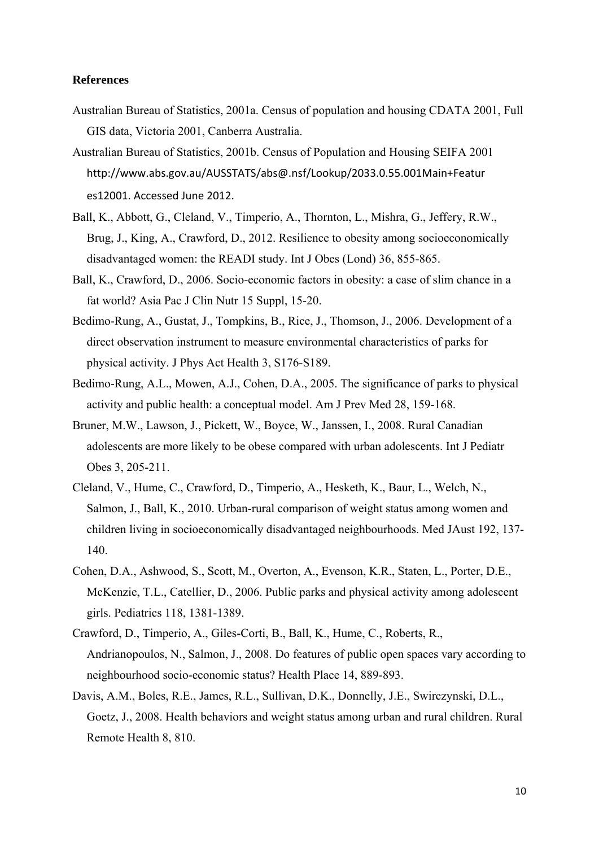#### **References**

- Australian Bureau of Statistics, 2001a. Census of population and housing CDATA 2001, Full GIS data, Victoria 2001, Canberra Australia.
- Australian Bureau of Statistics, 2001b. Census of Population and Housing SEIFA 2001 http://www.abs.gov.au/AUSSTATS/abs@.nsf/Lookup/2033.0.55.001Main+Featur es12001. Accessed June 2012.
- Ball, K., Abbott, G., Cleland, V., Timperio, A., Thornton, L., Mishra, G., Jeffery, R.W., Brug, J., King, A., Crawford, D., 2012. Resilience to obesity among socioeconomically disadvantaged women: the READI study. Int J Obes (Lond) 36, 855-865.
- Ball, K., Crawford, D., 2006. Socio-economic factors in obesity: a case of slim chance in a fat world? Asia Pac J Clin Nutr 15 Suppl, 15-20.
- Bedimo-Rung, A., Gustat, J., Tompkins, B., Rice, J., Thomson, J., 2006. Development of a direct observation instrument to measure environmental characteristics of parks for physical activity. J Phys Act Health 3, S176-S189.
- Bedimo-Rung, A.L., Mowen, A.J., Cohen, D.A., 2005. The significance of parks to physical activity and public health: a conceptual model. Am J Prev Med 28, 159-168.
- Bruner, M.W., Lawson, J., Pickett, W., Boyce, W., Janssen, I., 2008. Rural Canadian adolescents are more likely to be obese compared with urban adolescents. Int J Pediatr Obes 3, 205-211.
- Cleland, V., Hume, C., Crawford, D., Timperio, A., Hesketh, K., Baur, L., Welch, N., Salmon, J., Ball, K., 2010. Urban-rural comparison of weight status among women and children living in socioeconomically disadvantaged neighbourhoods. Med JAust 192, 137- 140.
- Cohen, D.A., Ashwood, S., Scott, M., Overton, A., Evenson, K.R., Staten, L., Porter, D.E., McKenzie, T.L., Catellier, D., 2006. Public parks and physical activity among adolescent girls. Pediatrics 118, 1381-1389.
- Crawford, D., Timperio, A., Giles-Corti, B., Ball, K., Hume, C., Roberts, R., Andrianopoulos, N., Salmon, J., 2008. Do features of public open spaces vary according to neighbourhood socio-economic status? Health Place 14, 889-893.
- Davis, A.M., Boles, R.E., James, R.L., Sullivan, D.K., Donnelly, J.E., Swirczynski, D.L., Goetz, J., 2008. Health behaviors and weight status among urban and rural children. Rural Remote Health 8, 810.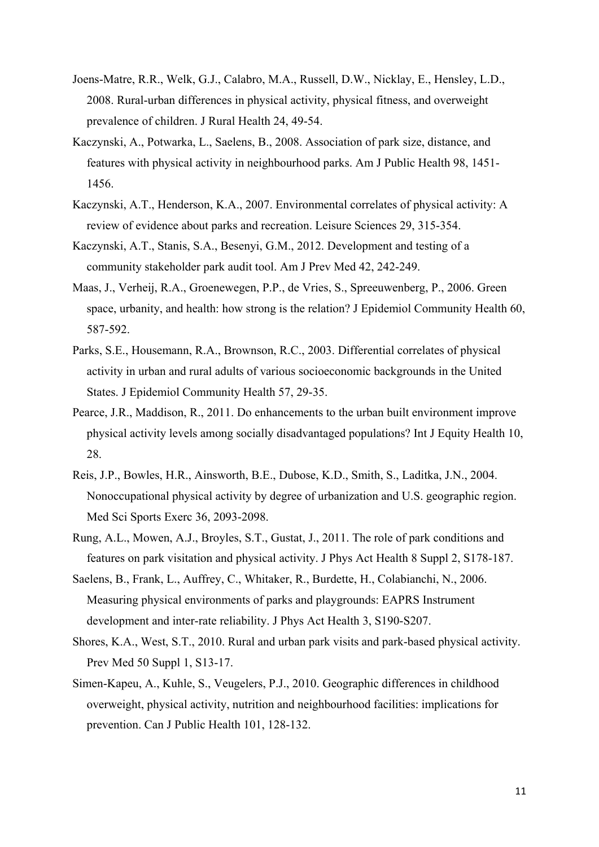- Joens-Matre, R.R., Welk, G.J., Calabro, M.A., Russell, D.W., Nicklay, E., Hensley, L.D., 2008. Rural-urban differences in physical activity, physical fitness, and overweight prevalence of children. J Rural Health 24, 49-54.
- Kaczynski, A., Potwarka, L., Saelens, B., 2008. Association of park size, distance, and features with physical activity in neighbourhood parks. Am J Public Health 98, 1451- 1456.
- Kaczynski, A.T., Henderson, K.A., 2007. Environmental correlates of physical activity: A review of evidence about parks and recreation. Leisure Sciences 29, 315-354.
- Kaczynski, A.T., Stanis, S.A., Besenyi, G.M., 2012. Development and testing of a community stakeholder park audit tool. Am J Prev Med 42, 242-249.
- Maas, J., Verheij, R.A., Groenewegen, P.P., de Vries, S., Spreeuwenberg, P., 2006. Green space, urbanity, and health: how strong is the relation? J Epidemiol Community Health 60, 587-592.
- Parks, S.E., Housemann, R.A., Brownson, R.C., 2003. Differential correlates of physical activity in urban and rural adults of various socioeconomic backgrounds in the United States. J Epidemiol Community Health 57, 29-35.
- Pearce, J.R., Maddison, R., 2011. Do enhancements to the urban built environment improve physical activity levels among socially disadvantaged populations? Int J Equity Health 10, 28.
- Reis, J.P., Bowles, H.R., Ainsworth, B.E., Dubose, K.D., Smith, S., Laditka, J.N., 2004. Nonoccupational physical activity by degree of urbanization and U.S. geographic region. Med Sci Sports Exerc 36, 2093-2098.
- Rung, A.L., Mowen, A.J., Broyles, S.T., Gustat, J., 2011. The role of park conditions and features on park visitation and physical activity. J Phys Act Health 8 Suppl 2, S178-187.
- Saelens, B., Frank, L., Auffrey, C., Whitaker, R., Burdette, H., Colabianchi, N., 2006. Measuring physical environments of parks and playgrounds: EAPRS Instrument development and inter-rate reliability. J Phys Act Health 3, S190-S207.
- Shores, K.A., West, S.T., 2010. Rural and urban park visits and park-based physical activity. Prev Med 50 Suppl 1, S13-17.
- Simen-Kapeu, A., Kuhle, S., Veugelers, P.J., 2010. Geographic differences in childhood overweight, physical activity, nutrition and neighbourhood facilities: implications for prevention. Can J Public Health 101, 128-132.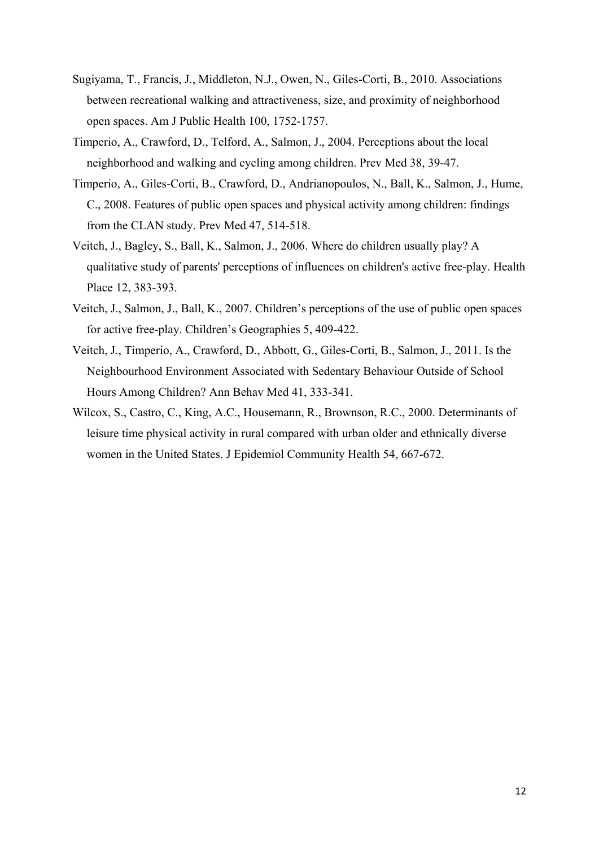- Sugiyama, T., Francis, J., Middleton, N.J., Owen, N., Giles-Corti, B., 2010. Associations between recreational walking and attractiveness, size, and proximity of neighborhood open spaces. Am J Public Health 100, 1752-1757.
- Timperio, A., Crawford, D., Telford, A., Salmon, J., 2004. Perceptions about the local neighborhood and walking and cycling among children. Prev Med 38, 39-47.
- Timperio, A., Giles-Corti, B., Crawford, D., Andrianopoulos, N., Ball, K., Salmon, J., Hume, C., 2008. Features of public open spaces and physical activity among children: findings from the CLAN study. Prev Med 47, 514-518.
- Veitch, J., Bagley, S., Ball, K., Salmon, J., 2006. Where do children usually play? A qualitative study of parents' perceptions of influences on children's active free-play. Health Place 12, 383-393.
- Veitch, J., Salmon, J., Ball, K., 2007. Children's perceptions of the use of public open spaces for active free-play. Children's Geographies 5, 409-422.
- Veitch, J., Timperio, A., Crawford, D., Abbott, G., Giles-Corti, B., Salmon, J., 2011. Is the Neighbourhood Environment Associated with Sedentary Behaviour Outside of School Hours Among Children? Ann Behav Med 41, 333-341.
- Wilcox, S., Castro, C., King, A.C., Housemann, R., Brownson, R.C., 2000. Determinants of leisure time physical activity in rural compared with urban older and ethnically diverse women in the United States. J Epidemiol Community Health 54, 667-672.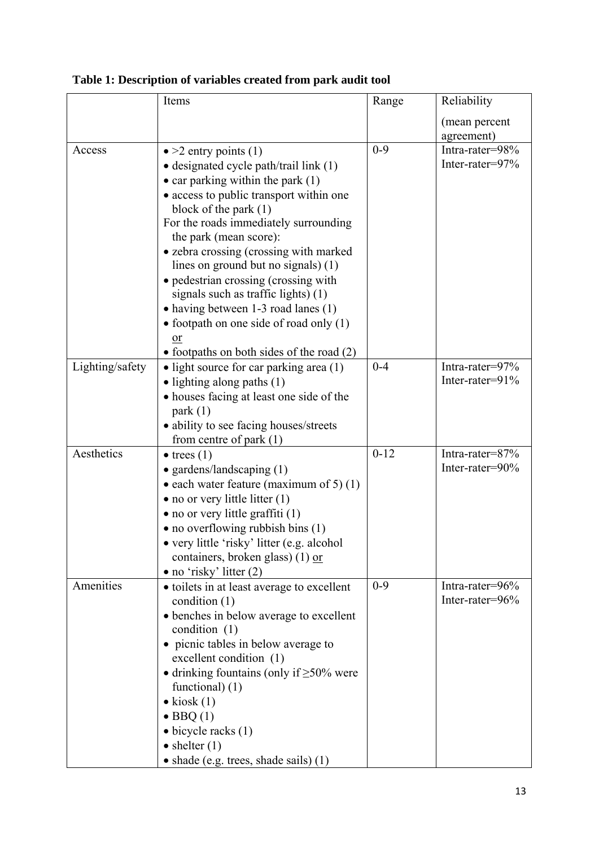|                           | Items                                                                                                                                                                                                                                                                                                                                                                                                                                                                                                                                                                                 | Range              | Reliability                                           |
|---------------------------|---------------------------------------------------------------------------------------------------------------------------------------------------------------------------------------------------------------------------------------------------------------------------------------------------------------------------------------------------------------------------------------------------------------------------------------------------------------------------------------------------------------------------------------------------------------------------------------|--------------------|-------------------------------------------------------|
|                           |                                                                                                                                                                                                                                                                                                                                                                                                                                                                                                                                                                                       |                    | (mean percent<br>agreement)                           |
| Access<br>Lighting/safety | $\bullet$ >2 entry points (1)<br>• designated cycle path/trail link (1)<br>$\bullet$ car parking within the park (1)<br>• access to public transport within one<br>block of the park $(1)$<br>For the roads immediately surrounding<br>the park (mean score):<br>• zebra crossing (crossing with marked<br>lines on ground but no signals) $(1)$<br>• pedestrian crossing (crossing with<br>signals such as traffic lights) $(1)$<br>• having between 1-3 road lanes (1)<br>• footpath on one side of road only $(1)$<br><sub>or</sub><br>• footpaths on both sides of the road $(2)$ | $0 - 9$<br>$0 - 4$ | Intra-rater=98%<br>Inter-rater=97%<br>Intra-rater=97% |
|                           | $\bullet$ light source for car parking area (1)<br>$\bullet$ lighting along paths (1)<br>• houses facing at least one side of the<br>park $(1)$<br>· ability to see facing houses/streets<br>from centre of park $(1)$                                                                                                                                                                                                                                                                                                                                                                |                    | Inter-rater=91%                                       |
| Aesthetics                | $\bullet$ trees (1)<br>$\bullet$ gardens/landscaping (1)<br>$\bullet$ each water feature (maximum of 5) (1)<br>$\bullet$ no or very little litter (1)<br>$\bullet$ no or very little graffiti (1)<br>$\bullet$ no overflowing rubbish bins (1)<br>• very little 'risky' litter (e.g. alcohol<br>containers, broken glass) (1) or<br>$\bullet$ no 'risky' litter (2)                                                                                                                                                                                                                   | $0 - 12$           | Intra-rater=87%<br>Inter-rater=90%                    |
| Amenities                 | • toilets in at least average to excellent<br>condition $(1)$<br>• benches in below average to excellent<br>condition $(1)$<br>• picnic tables in below average to<br>excellent condition (1)<br>• drinking fountains (only if $\geq$ 50% were<br>functional) $(1)$<br>$\bullet$ kiosk (1)<br>$\bullet$ BBQ (1)<br>$\bullet$ bicycle racks (1)<br>$\bullet$ shelter (1)<br>• shade (e.g. trees, shade sails) $(1)$                                                                                                                                                                    | $0 - 9$            | Intra-rater=96%<br>Inter-rater=96%                    |

**Table 1: Description of variables created from park audit tool**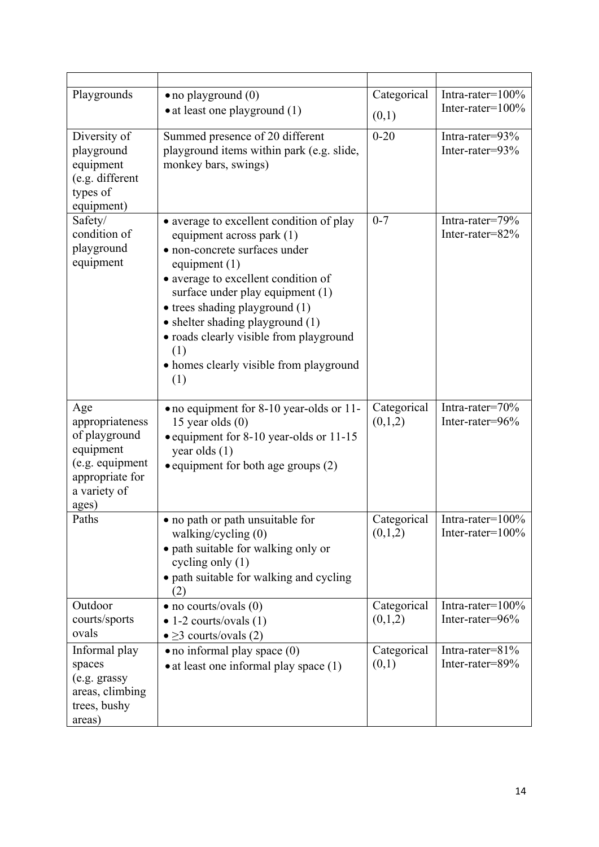| Playgrounds                                                                                                         | $\bullet$ no playground $(0)$                                                                                                                                                                                                                                                                                                                                                  | Categorical            | Intra-rater=100%                             |
|---------------------------------------------------------------------------------------------------------------------|--------------------------------------------------------------------------------------------------------------------------------------------------------------------------------------------------------------------------------------------------------------------------------------------------------------------------------------------------------------------------------|------------------------|----------------------------------------------|
|                                                                                                                     | $\bullet$ at least one playground (1)                                                                                                                                                                                                                                                                                                                                          | (0,1)                  | Inter-rater= $100\%$                         |
| Diversity of<br>playground<br>equipment<br>(e.g. different<br>types of<br>equipment)                                | Summed presence of 20 different<br>playground items within park (e.g. slide,<br>monkey bars, swings)                                                                                                                                                                                                                                                                           | $0 - 20$               | Intra-rater=93%<br>Inter-rater=93%           |
| Safety/<br>condition of<br>playground<br>equipment                                                                  | • average to excellent condition of play<br>equipment across park (1)<br>· non-concrete surfaces under<br>equipment $(1)$<br>• average to excellent condition of<br>surface under play equipment (1)<br>• trees shading playground (1)<br>• shelter shading playground (1)<br>• roads clearly visible from playground<br>(1)<br>• homes clearly visible from playground<br>(1) | $0 - 7$                | Intra-rater=79%<br>Inter-rater=82%           |
| Age<br>appropriateness<br>of playground<br>equipment<br>(e.g. equipment<br>appropriate for<br>a variety of<br>ages) | • no equipment for 8-10 year-olds or 11-<br>15 year olds $(0)$<br>• equipment for 8-10 year-olds or 11-15<br>year olds $(1)$<br>• equipment for both age groups (2)                                                                                                                                                                                                            | Categorical<br>(0,1,2) | Intra-rater=70%<br>Inter-rater=96%           |
| Paths                                                                                                               | • no path or path unsuitable for<br>walking/cycling $(0)$<br>• path suitable for walking only or<br>cycling only $(1)$<br>• path suitable for walking and cycling<br>(2)                                                                                                                                                                                                       | Categorical<br>(0,1,2) | Intra-rater= $100\%$<br>Inter-rater= $100\%$ |
| Outdoor<br>courts/sports<br>ovals                                                                                   | $\bullet$ no courts/ovals (0)<br>$\bullet$ 1-2 courts/ovals (1)<br>• $\geq$ 2 courts/ovals (2)                                                                                                                                                                                                                                                                                 | Categorical<br>(0,1,2) | Intra-rater= $100\%$<br>Inter-rater=96%      |
| Informal play<br>spaces<br>(e.g. grassy)<br>areas, climbing<br>trees, bushy<br>areas)                               | $\bullet$ no informal play space $(0)$<br>• at least one informal play space (1)                                                                                                                                                                                                                                                                                               | Categorical<br>(0,1)   | Intra-rater= $81\%$<br>Inter-rater=89%       |